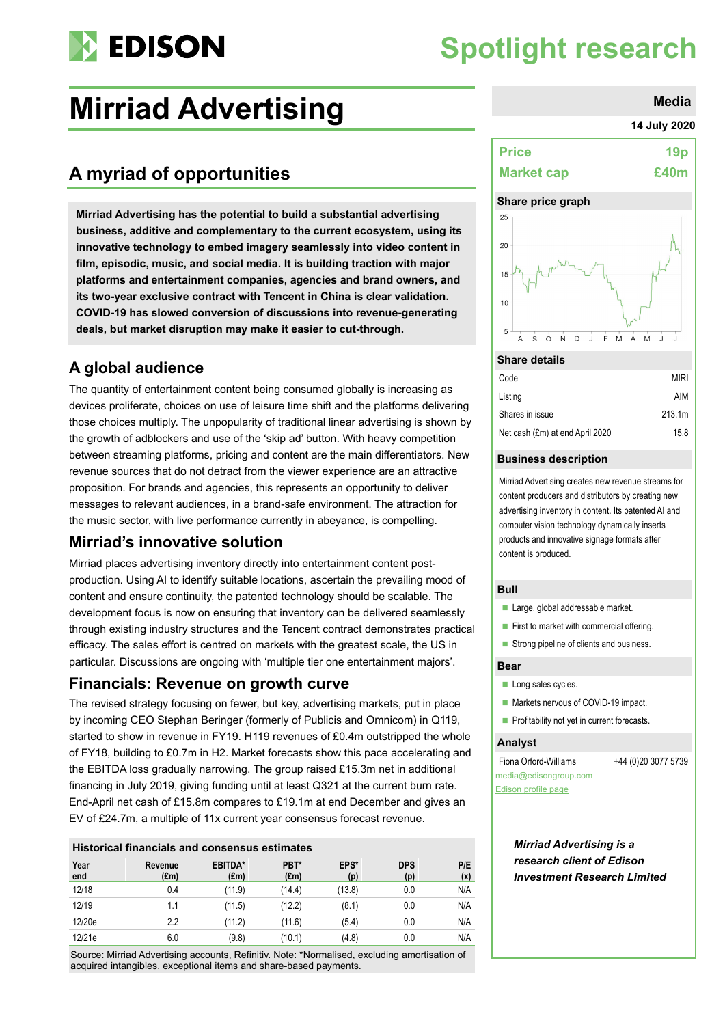

# **Spotlight research**

# **Mirriad Advertising Mirriad Advertising**

## **A myriad of opportunities**

**Mirriad Advertising has the potential to build a substantial advertising business, additive and complementary to the current ecosystem, using its innovative technology to embed imagery seamlessly into video content in film, episodic, music, and social media. It is building traction with major platforms and entertainment companies, agencies and brand owners, and its two-year exclusive contract with Tencent in China is clear validation. COVID-19 has slowed conversion of discussions into revenue-generating deals, but market disruption may make it easier to cut-through.** 

### **A global audience**

The quantity of entertainment content being consumed globally is increasing as devices proliferate, choices on use of leisure time shift and the platforms delivering those choices multiply. The unpopularity of traditional linear advertising is shown by the growth of adblockers and use of the 'skip ad' button. With heavy competition between streaming platforms, pricing and content are the main differentiators. New revenue sources that do not detract from the viewer experience are an attractive proposition. For brands and agencies, this represents an opportunity to deliver messages to relevant audiences, in a brand-safe environment. The attraction for the music sector, with live performance currently in abeyance, is compelling.

### **Mirriad's innovative solution**

Mirriad places advertising inventory directly into entertainment content postproduction. Using AI to identify suitable locations, ascertain the prevailing mood of content and ensure continuity, the patented technology should be scalable. The development focus is now on ensuring that inventory can be delivered seamlessly through existing industry structures and the Tencent contract demonstrates practical efficacy. The sales effort is centred on markets with the greatest scale, the US in particular. Discussions are ongoing with 'multiple tier one entertainment majors'.

### **Financials: Revenue on growth curve**

The revised strategy focusing on fewer, but key, advertising markets, put in place by incoming CEO Stephan Beringer (formerly of Publicis and Omnicom) in Q119, started to show in revenue in FY19. H119 revenues of £0.4m outstripped the whole of FY18, building to £0.7m in H2. Market forecasts show this pace accelerating and the EBITDA loss gradually narrowing. The group raised £15.3m net in additional financing in July 2019, giving funding until at least Q321 at the current burn rate. End-April net cash of £15.8m compares to £19.1m at end December and gives an EV of £24.7m, a multiple of 11x current year consensus forecast revenue.

#### **Historical financials and consensus estimates**

| Year<br>end | Revenue<br>$(\text{Em})$ | EBITDA*<br>$(\text{Em})$ | PBT*<br>(f.m) | EPS*<br>(p) | <b>DPS</b><br>(p) | P/E<br>(x) |
|-------------|--------------------------|--------------------------|---------------|-------------|-------------------|------------|
| 12/18       | 0.4                      | (11.9)                   | (14.4)        | (13.8)      | 0.0               | N/A        |
| 12/19       | 1.1                      | (11.5)                   | (12.2)        | (8.1)       | 0.0               | N/A        |
| 12/20e      | 2.2                      | (11.2)                   | (11.6)        | (5.4)       | 0.0               | N/A        |
| 12/21e      | 6.0                      | (9.8)                    | (10.1)        | (4.8)       | 0.0               | N/A        |

Source: Mirriad Advertising accounts, Refinitiv. Note: \*Normalised, excluding amortisation of acquired intangibles, exceptional items and share-based payments.

#### **14 July 2020**

| <b>Price</b>      | 19 <sub>p</sub> |
|-------------------|-----------------|
| <b>Market cap</b> | £40m            |

#### **Share price graph**



#### **Share details**

| Code                            | <b>MIRI</b> |
|---------------------------------|-------------|
| Listing                         | AIM         |
| Shares in issue                 | 213.1m      |
| Net cash (£m) at end April 2020 | 15.8        |

#### **Business description**

Mirriad Advertising creates new revenue streams for content producers and distributors by creating new advertising inventory in content. Its patented AI and computer vision technology dynamically inserts products and innovative signage formats after content is produced.

#### **Bull**

- Large, global addressable market.
- $\blacksquare$  First to market with commercial offering.
- Strong pipeline of clients and business.

#### **Bear**

- Long sales cycles.
- **Markets nervous of COVID-19 impact.**
- **Profitability not yet in current forecasts.**

#### **Analyst**

Fiona Orford-Williams +44 (0)20 3077 5739 [media@edisongroup.com](mailto:media@edisongroup.com) [Edison profile page](https://www.edisongroup.com/company/Mirriad-Advertising)

*Mirriad Advertising is a research client of Edison Investment Research Limited*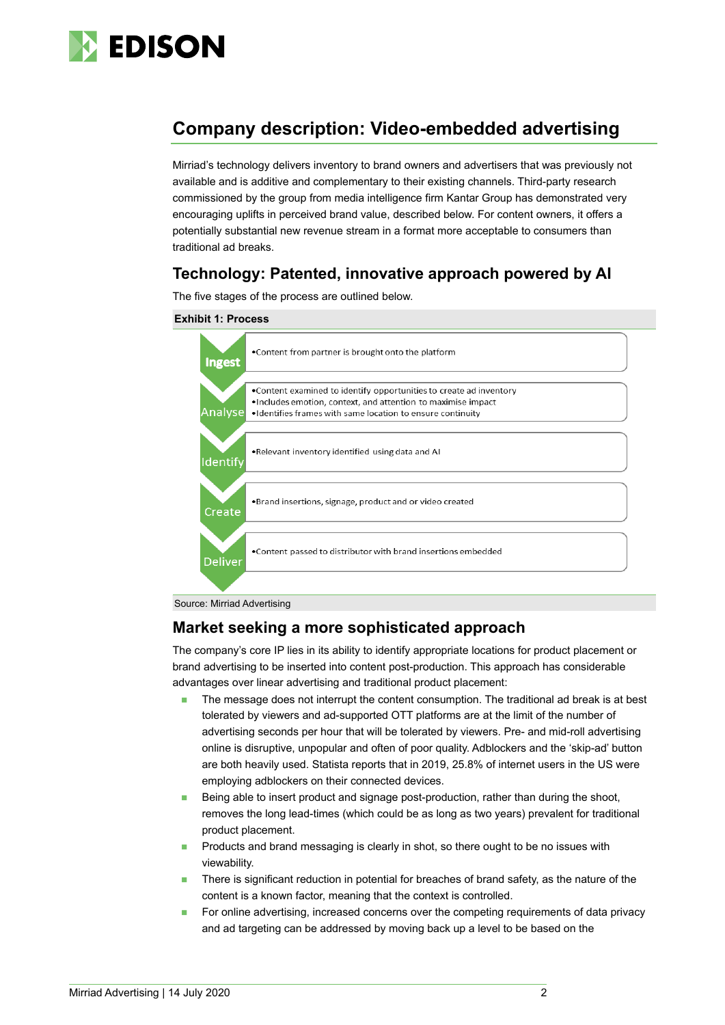

## **Company description: Video-embedded advertising**

Mirriad's technology delivers inventory to brand owners and advertisers that was previously not available and is additive and complementary to their existing channels. Third-party research commissioned by the group from media intelligence firm Kantar Group has demonstrated very encouraging uplifts in perceived brand value, described below. For content owners, it offers a potentially substantial new revenue stream in a format more acceptable to consumers than traditional ad breaks.

### **Technology: Patented, innovative approach powered by AI**

The five stages of the process are outlined below.







### **Market seeking a more sophisticated approach**

The company's core IP lies in its ability to identify appropriate locations for product placement or brand advertising to be inserted into content post-production. This approach has considerable advantages over linear advertising and traditional product placement:

- The message does not interrupt the content consumption. The traditional ad break is at best tolerated by viewers and ad-supported OTT platforms are at the limit of the number of advertising seconds per hour that will be tolerated by viewers. Pre- and mid-roll advertising online is disruptive, unpopular and often of poor quality. Adblockers and the 'skip-ad' button are both heavily used. Statista reports that in 2019, 25.8% of internet users in the US were employing adblockers on their connected devices.
- Being able to insert product and signage post-production, rather than during the shoot, removes the long lead-times (which could be as long as two years) prevalent for traditional product placement.
- Products and brand messaging is clearly in shot, so there ought to be no issues with viewability.
- **There is significant reduction in potential for breaches of brand safety, as the nature of the** content is a known factor, meaning that the context is controlled.
- For online advertising, increased concerns over the competing requirements of data privacy and ad targeting can be addressed by moving back up a level to be based on the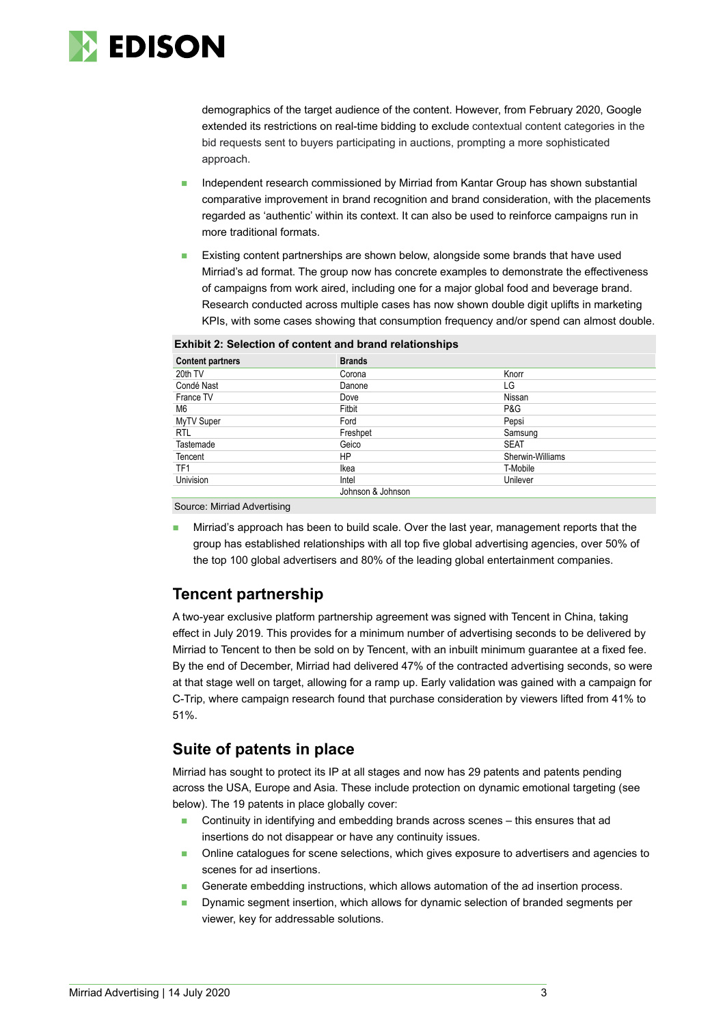

demographics of the target audience of the content. However, from February 2020, Google extended its restrictions on real-time bidding to exclude contextual content categories in the bid requests sent to buyers participating in auctions, prompting a more sophisticated approach.

- Independent research commissioned by Mirriad from Kantar Group has shown substantial comparative improvement in brand recognition and brand consideration, with the placements regarded as 'authentic' within its context. It can also be used to reinforce campaigns run in more traditional formats.
- Existing content partnerships are shown below, alongside some brands that have used Mirriad's ad format. The group now has concrete examples to demonstrate the effectiveness of campaigns from work aired, including one for a major global food and beverage brand. Research conducted across multiple cases has now shown double digit uplifts in marketing KPIs, with some cases showing that consumption frequency and/or spend can almost double.

| <b>Exhibit 2: Selection of content and brand relationships</b> |  |  |  |
|----------------------------------------------------------------|--|--|--|
|----------------------------------------------------------------|--|--|--|

| <b>Content partners</b> | <b>Brands</b>     |                  |
|-------------------------|-------------------|------------------|
| 20th TV                 | Corona            | Knorr            |
| Condé Nast              | Danone            | LG               |
| France TV               | Dove              | Nissan           |
| M6                      | Fitbit            | P&G              |
| MyTV Super              | Ford              | Pepsi            |
| <b>RTL</b>              | Freshpet          | Samsung          |
| Tastemade               | Geico             | <b>SEAT</b>      |
| Tencent                 | HP                | Sherwin-Williams |
| TF <sub>1</sub>         | Ikea              | T-Mobile         |
| Univision               | Intel             | Unilever         |
|                         | Johnson & Johnson |                  |

Source: Mirriad Advertising

 Mirriad's approach has been to build scale. Over the last year, management reports that the group has established relationships with all top five global advertising agencies, over 50% of the top 100 global advertisers and 80% of the leading global entertainment companies.

### **Tencent partnership**

A two-year exclusive platform partnership agreement was signed with Tencent in China, taking effect in July 2019. This provides for a minimum number of advertising seconds to be delivered by Mirriad to Tencent to then be sold on by Tencent, with an inbuilt minimum guarantee at a fixed fee. By the end of December, Mirriad had delivered 47% of the contracted advertising seconds, so were at that stage well on target, allowing for a ramp up. Early validation was gained with a campaign for C-Trip, where campaign research found that purchase consideration by viewers lifted from 41% to 51%.

### **Suite of patents in place**

Mirriad has sought to protect its IP at all stages and now has 29 patents and patents pending across the USA, Europe and Asia. These include protection on dynamic emotional targeting (see below). The 19 patents in place globally cover:

- Continuity in identifying and embedding brands across scenes this ensures that ad insertions do not disappear or have any continuity issues.
- Online catalogues for scene selections, which gives exposure to advertisers and agencies to scenes for ad insertions.
- Generate embedding instructions, which allows automation of the ad insertion process.
- Dynamic segment insertion, which allows for dynamic selection of branded segments per viewer, key for addressable solutions.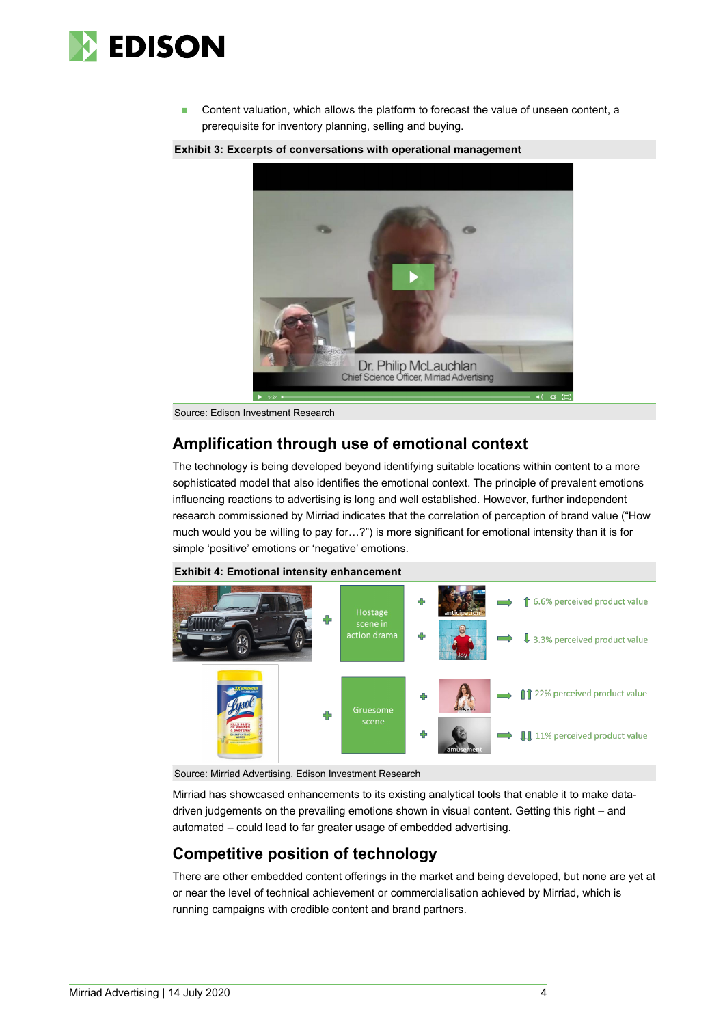

 Content valuation, which allows the platform to forecast the value of unseen content, a prerequisite for inventory planning, selling and buying.

**Exhibit 3: Excerpts of conversations with operational management**



Source: Edison Investment Research

### **Amplification through use of emotional context**

The technology is being developed beyond identifying suitable locations within content to a more sophisticated model that also identifies the emotional context. The principle of prevalent emotions influencing reactions to advertising is long and well established. However, further independent research commissioned by Mirriad indicates that the correlation of perception of brand value ("How much would you be willing to pay for…?") is more significant for emotional intensity than it is for simple 'positive' emotions or 'negative' emotions.



**Exhibit 4: Emotional intensity enhancement**

Source: Mirriad Advertising, Edison Investment Research

Mirriad has showcased enhancements to its existing analytical tools that enable it to make datadriven judgements on the prevailing emotions shown in visual content. Getting this right – and automated – could lead to far greater usage of embedded advertising.

### **Competitive position of technology**

There are other embedded content offerings in the market and being developed, but none are yet at or near the level of technical achievement or commercialisation achieved by Mirriad, which is running campaigns with credible content and brand partners.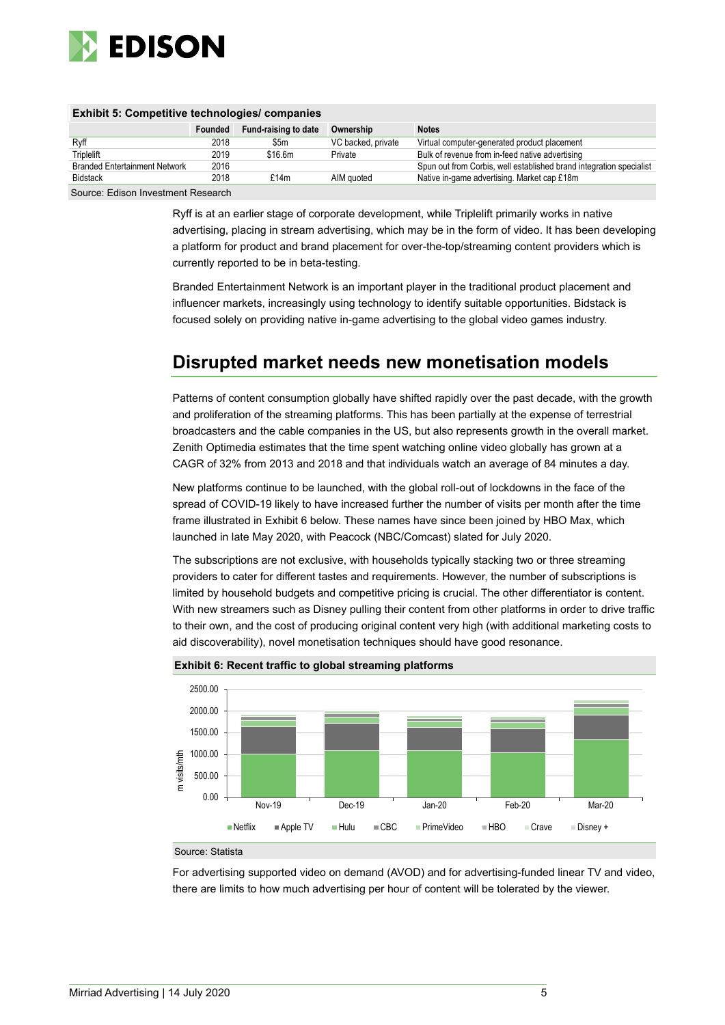

| <b>EXNIBIT 5: COMPETITIVE LECTINOIOGIES/ COMPANIES</b> |         |                      |                    |                                                                     |  |  |
|--------------------------------------------------------|---------|----------------------|--------------------|---------------------------------------------------------------------|--|--|
|                                                        | Founded | Fund-raising to date | Ownership          | <b>Notes</b>                                                        |  |  |
| Ryff                                                   | 2018    | \$5m                 | VC backed, private | Virtual computer-generated product placement                        |  |  |
| Triplelift                                             | 2019    | \$16.6m              | Private            | Bulk of revenue from in-feed native advertising                     |  |  |
| <b>Branded Entertainment Network</b>                   | 2016    |                      |                    | Spun out from Corbis, well established brand integration specialist |  |  |
| <b>Bidstack</b>                                        | 2018    | f14m                 | AIM auoted         | Native in-game advertising. Market cap £18m                         |  |  |
|                                                        |         |                      |                    |                                                                     |  |  |

### **Exhibit 5: Competitive technologies/ companies**

Source: Edison Investment Research

Ryff is at an earlier stage of corporate development, while Triplelift primarily works in native advertising, placing in stream advertising, which may be in the form of video. It has been developing a platform for product and brand placement for over-the-top/streaming content providers which is currently reported to be in beta-testing.

Branded Entertainment Network is an important player in the traditional product placement and influencer markets, increasingly using technology to identify suitable opportunities. Bidstack is focused solely on providing native in-game advertising to the global video games industry.

## **Disrupted market needs new monetisation models**

Patterns of content consumption globally have shifted rapidly over the past decade, with the growth and proliferation of the streaming platforms. This has been partially at the expense of terrestrial broadcasters and the cable companies in the US, but also represents growth in the overall market. Zenith Optimedia estimates that the time spent watching online video globally has grown at a CAGR of 32% from 2013 and 2018 and that individuals watch an average of 84 minutes a day.

New platforms continue to be launched, with the global roll-out of lockdowns in the face of the spread of COVID-19 likely to have increased further the number of visits per month after the time frame illustrated in Exhibit 6 below. These names have since been joined by HBO Max, which launched in late May 2020, with Peacock (NBC/Comcast) slated for July 2020.

The subscriptions are not exclusive, with households typically stacking two or three streaming providers to cater for different tastes and requirements. However, the number of subscriptions is limited by household budgets and competitive pricing is crucial. The other differentiator is content. With new streamers such as Disney pulling their content from other platforms in order to drive traffic to their own, and the cost of producing original content very high (with additional marketing costs to aid discoverability), novel monetisation techniques should have good resonance.



#### **Exhibit 6: Recent traffic to global streaming platforms**

#### Source: Statista

For advertising supported video on demand (AVOD) and for advertising-funded linear TV and video, there are limits to how much advertising per hour of content will be tolerated by the viewer.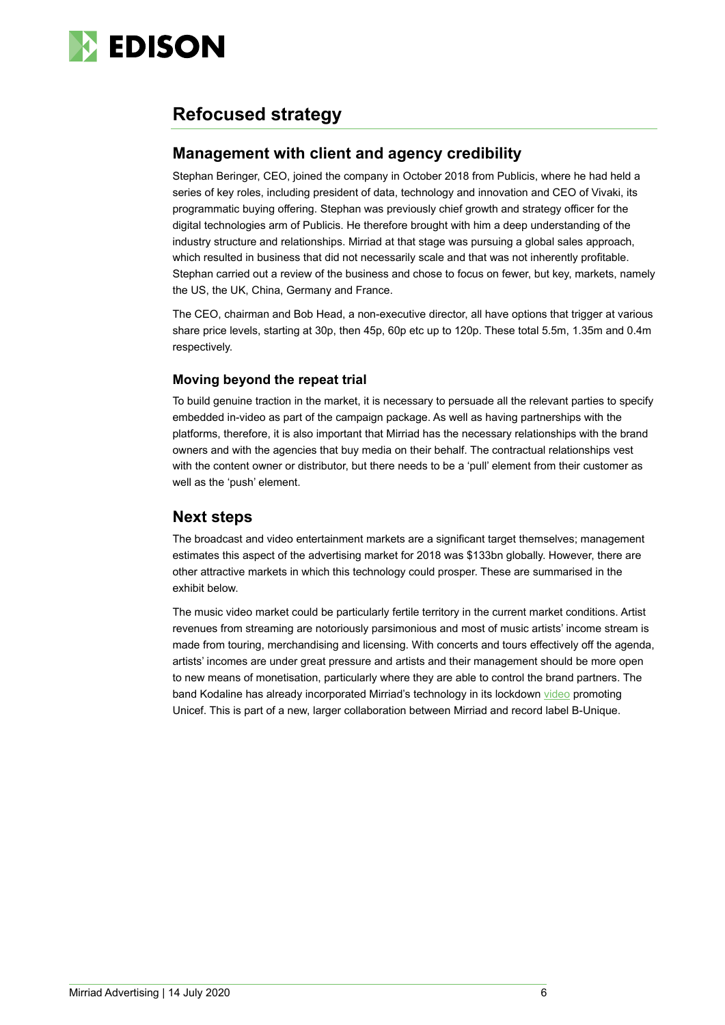

## **Refocused strategy**

### **Management with client and agency credibility**

Stephan Beringer, CEO, joined the company in October 2018 from Publicis, where he had held a series of key roles, including president of data, technology and innovation and CEO of Vivaki, its programmatic buying offering. Stephan was previously chief growth and strategy officer for the digital technologies arm of Publicis. He therefore brought with him a deep understanding of the industry structure and relationships. Mirriad at that stage was pursuing a global sales approach, which resulted in business that did not necessarily scale and that was not inherently profitable. Stephan carried out a review of the business and chose to focus on fewer, but key, markets, namely the US, the UK, China, Germany and France.

The CEO, chairman and Bob Head, a non-executive director, all have options that trigger at various share price levels, starting at 30p, then 45p, 60p etc up to 120p. These total 5.5m, 1.35m and 0.4m respectively.

#### **Moving beyond the repeat trial**

To build genuine traction in the market, it is necessary to persuade all the relevant parties to specify embedded in-video as part of the campaign package. As well as having partnerships with the platforms, therefore, it is also important that Mirriad has the necessary relationships with the brand owners and with the agencies that buy media on their behalf. The contractual relationships vest with the content owner or distributor, but there needs to be a 'pull' element from their customer as well as the 'push' element.

### **Next steps**

The broadcast and video entertainment markets are a significant target themselves; management estimates this aspect of the advertising market for 2018 was \$133bn globally. However, there are other attractive markets in which this technology could prosper. These are summarised in the exhibit below.

The music video market could be particularly fertile territory in the current market conditions. Artist revenues from streaming are notoriously parsimonious and most of music artists' income stream is made from touring, merchandising and licensing. With concerts and tours effectively off the agenda, artists' incomes are under great pressure and artists and their management should be more open to new means of monetisation, particularly where they are able to control the brand partners. The band Kodaline has already incorporated Mirriad's technology in its lockdown [video](https://www.youtube.com/watch?v=dYOwych1rWE) promoting Unicef. This is part of a new, larger collaboration between Mirriad and record label B-Unique.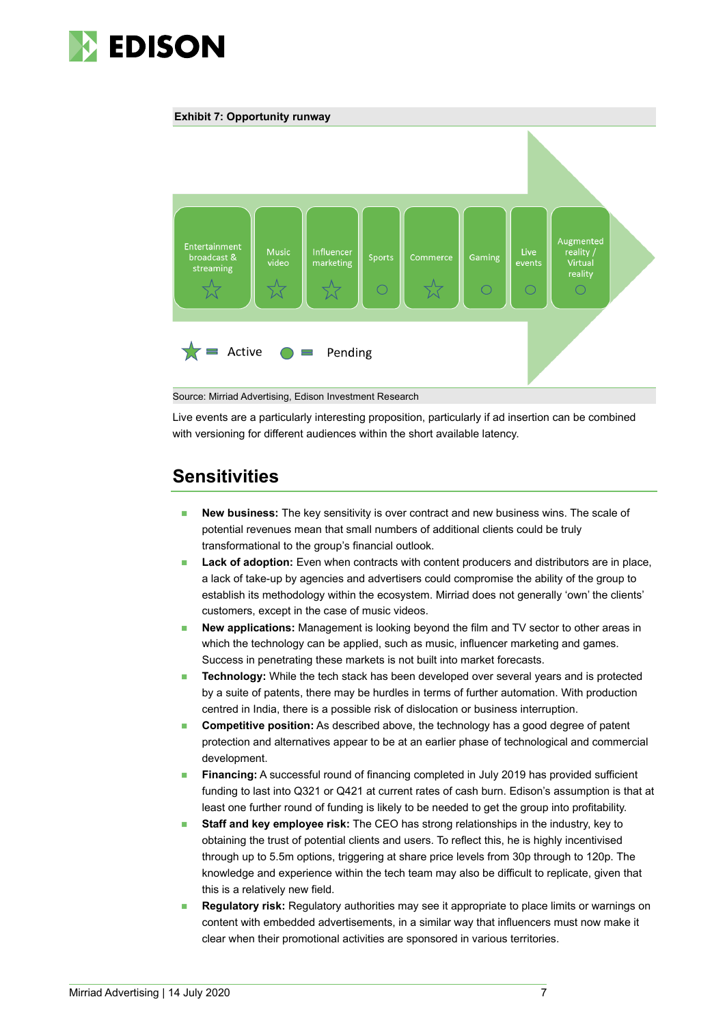





Source: Mirriad Advertising, Edison Investment Research

Live events are a particularly interesting proposition, particularly if ad insertion can be combined with versioning for different audiences within the short available latency.

### **Sensitivities**

- **New business:** The key sensitivity is over contract and new business wins. The scale of potential revenues mean that small numbers of additional clients could be truly transformational to the group's financial outlook.
- **Lack of adoption:** Even when contracts with content producers and distributors are in place, a lack of take-up by agencies and advertisers could compromise the ability of the group to establish its methodology within the ecosystem. Mirriad does not generally 'own' the clients' customers, except in the case of music videos.
- **New applications:** Management is looking beyond the film and TV sector to other areas in which the technology can be applied, such as music, influencer marketing and games. Success in penetrating these markets is not built into market forecasts.
- **Technology:** While the tech stack has been developed over several years and is protected by a suite of patents, there may be hurdles in terms of further automation. With production centred in India, there is a possible risk of dislocation or business interruption.
- **Competitive position:** As described above, the technology has a good degree of patent protection and alternatives appear to be at an earlier phase of technological and commercial development.
- **Financing:** A successful round of financing completed in July 2019 has provided sufficient funding to last into Q321 or Q421 at current rates of cash burn. Edison's assumption is that at least one further round of funding is likely to be needed to get the group into profitability.
- **Staff and key employee risk:** The CEO has strong relationships in the industry, key to obtaining the trust of potential clients and users. To reflect this, he is highly incentivised through up to 5.5m options, triggering at share price levels from 30p through to 120p. The knowledge and experience within the tech team may also be difficult to replicate, given that this is a relatively new field.
- **Requiatory risk:** Regulatory authorities may see it appropriate to place limits or warnings on content with embedded advertisements, in a similar way that influencers must now make it clear when their promotional activities are sponsored in various territories.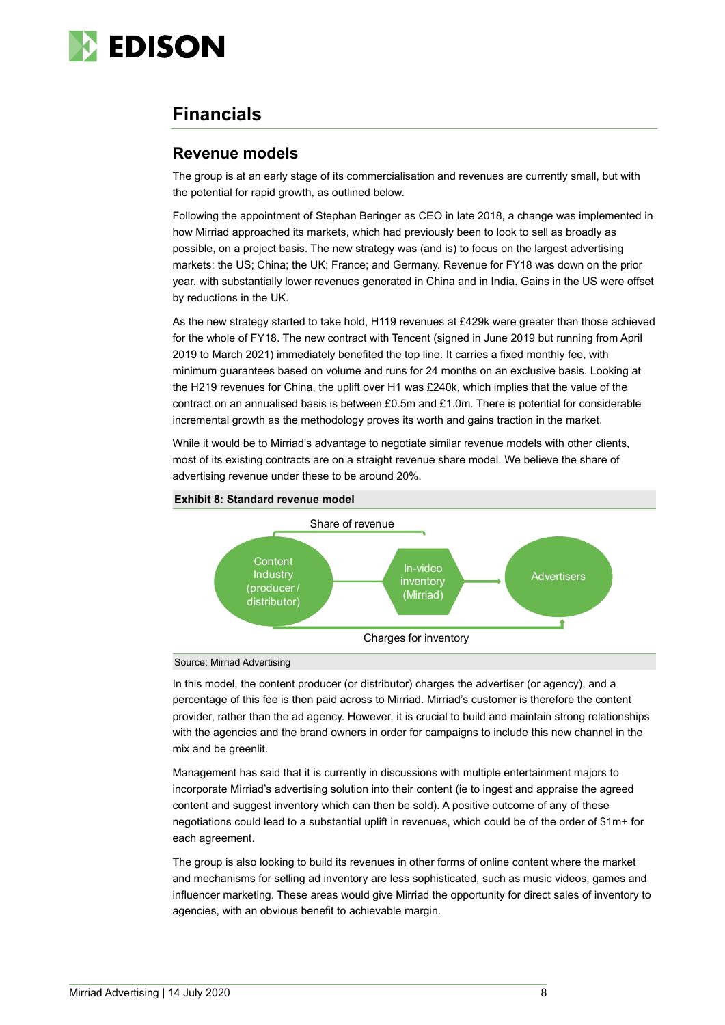

### **Financials**

### **Revenue models**

The group is at an early stage of its commercialisation and revenues are currently small, but with the potential for rapid growth, as outlined below.

Following the appointment of Stephan Beringer as CEO in late 2018, a change was implemented in how Mirriad approached its markets, which had previously been to look to sell as broadly as possible, on a project basis. The new strategy was (and is) to focus on the largest advertising markets: the US; China; the UK; France; and Germany. Revenue for FY18 was down on the prior year, with substantially lower revenues generated in China and in India. Gains in the US were offset by reductions in the UK.

As the new strategy started to take hold, H119 revenues at £429k were greater than those achieved for the whole of FY18. The new contract with Tencent (signed in June 2019 but running from April 2019 to March 2021) immediately benefited the top line. It carries a fixed monthly fee, with minimum guarantees based on volume and runs for 24 months on an exclusive basis. Looking at the H219 revenues for China, the uplift over H1 was £240k, which implies that the value of the contract on an annualised basis is between £0.5m and £1.0m. There is potential for considerable incremental growth as the methodology proves its worth and gains traction in the market.

While it would be to Mirriad's advantage to negotiate similar revenue models with other clients, most of its existing contracts are on a straight revenue share model. We believe the share of advertising revenue under these to be around 20%.





Source: Mirriad Advertising

In this model, the content producer (or distributor) charges the advertiser (or agency), and a percentage of this fee is then paid across to Mirriad. Mirriad's customer is therefore the content provider, rather than the ad agency. However, it is crucial to build and maintain strong relationships with the agencies and the brand owners in order for campaigns to include this new channel in the mix and be greenlit.

Management has said that it is currently in discussions with multiple entertainment majors to incorporate Mirriad's advertising solution into their content (ie to ingest and appraise the agreed content and suggest inventory which can then be sold). A positive outcome of any of these negotiations could lead to a substantial uplift in revenues, which could be of the order of \$1m+ for each agreement.

The group is also looking to build its revenues in other forms of online content where the market and mechanisms for selling ad inventory are less sophisticated, such as music videos, games and influencer marketing. These areas would give Mirriad the opportunity for direct sales of inventory to agencies, with an obvious benefit to achievable margin.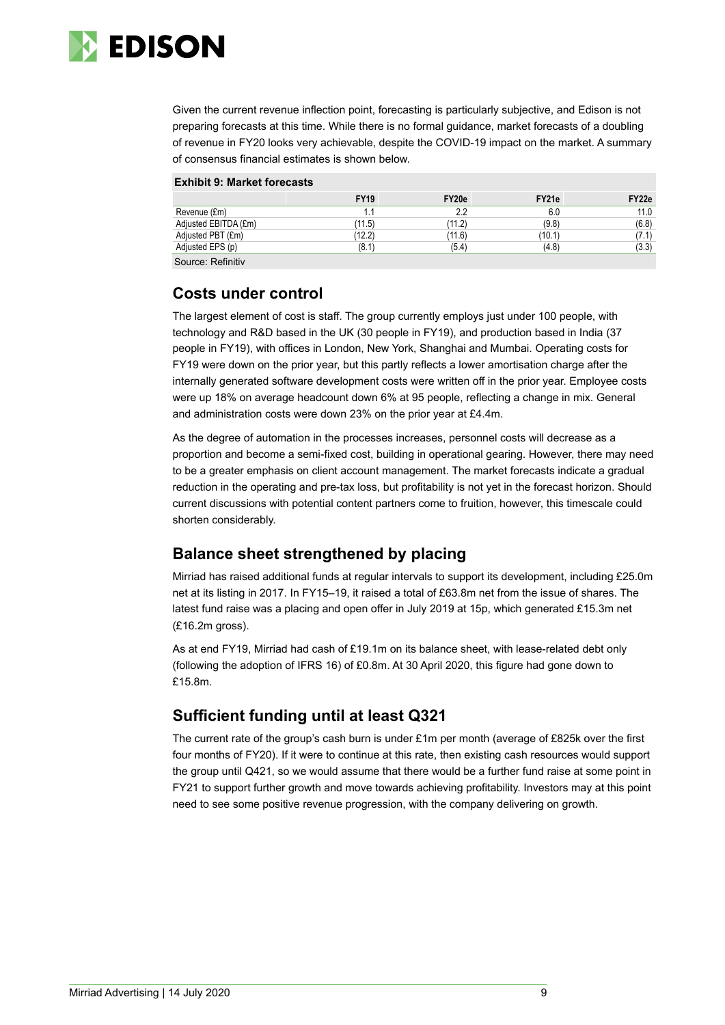

Given the current revenue inflection point, forecasting is particularly subjective, and Edison is not preparing forecasts at this time. While there is no formal guidance, market forecasts of a doubling of revenue in FY20 looks very achievable, despite the COVID-19 impact on the market. A summary of consensus financial estimates is shown below.

|                      | <b>FY19</b> | FY20e  | FY21e  | FY22e |
|----------------------|-------------|--------|--------|-------|
| Revenue (£m)         | 1.1         | 2.2    | 6.0    | 11.0  |
| Adjusted EBITDA (£m) | (11.5)      | (11.2) | (9.8)  | (6.8) |
| Adjusted PBT (£m)    | (12.2)      | (11.6) | (10.1) | (7.1) |
| Adjusted EPS (p)     | (8.1)       | (5.4)  | (4.8)  | (3.3) |
| Source: Refinitiv    |             |        |        |       |

### **Costs under control**

The largest element of cost is staff. The group currently employs just under 100 people, with technology and R&D based in the UK (30 people in FY19), and production based in India (37 people in FY19), with offices in London, New York, Shanghai and Mumbai. Operating costs for FY19 were down on the prior year, but this partly reflects a lower amortisation charge after the internally generated software development costs were written off in the prior year. Employee costs were up 18% on average headcount down 6% at 95 people, reflecting a change in mix. General and administration costs were down 23% on the prior year at £4.4m.

As the degree of automation in the processes increases, personnel costs will decrease as a proportion and become a semi-fixed cost, building in operational gearing. However, there may need to be a greater emphasis on client account management. The market forecasts indicate a gradual reduction in the operating and pre-tax loss, but profitability is not yet in the forecast horizon. Should current discussions with potential content partners come to fruition, however, this timescale could shorten considerably.

### **Balance sheet strengthened by placing**

Mirriad has raised additional funds at regular intervals to support its development, including £25.0m net at its listing in 2017. In FY15–19, it raised a total of £63.8m net from the issue of shares. The latest fund raise was a placing and open offer in July 2019 at 15p, which generated £15.3m net (£16.2m gross).

As at end FY19, Mirriad had cash of £19.1m on its balance sheet, with lease-related debt only (following the adoption of IFRS 16) of £0.8m. At 30 April 2020, this figure had gone down to £15.8m.

### **Sufficient funding until at least Q321**

The current rate of the group's cash burn is under £1m per month (average of £825k over the first four months of FY20). If it were to continue at this rate, then existing cash resources would support the group until Q421, so we would assume that there would be a further fund raise at some point in FY21 to support further growth and move towards achieving profitability. Investors may at this point need to see some positive revenue progression, with the company delivering on growth.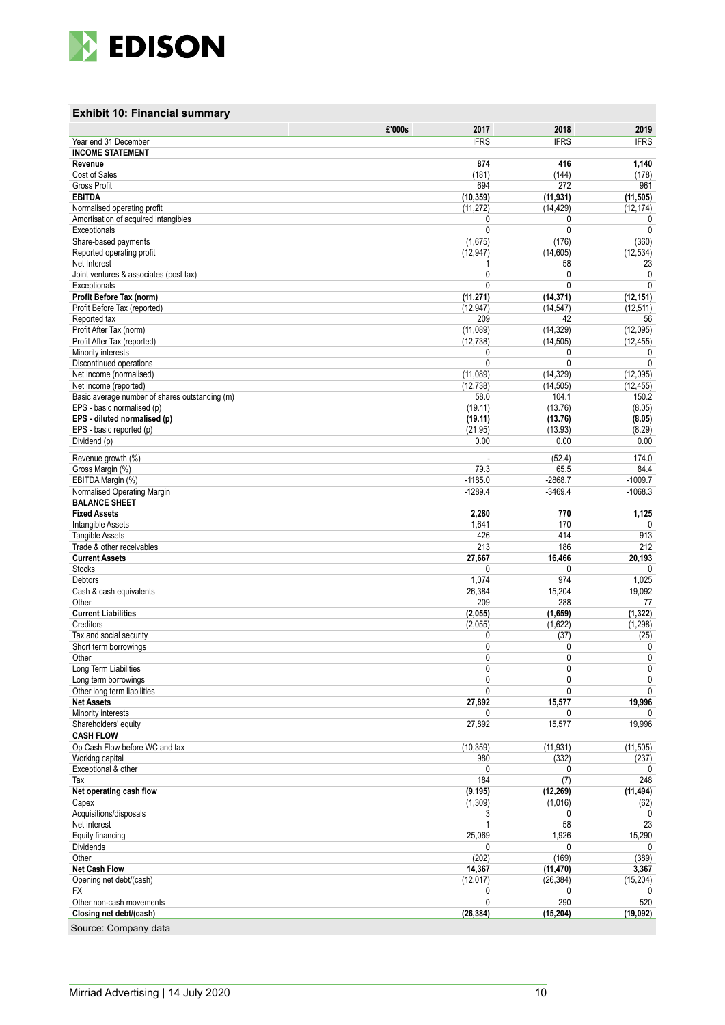

### **Exhibit 10: Financial summary**

|                                                                         | 2017<br>£'000s               | 2018                     | 2019                   |
|-------------------------------------------------------------------------|------------------------------|--------------------------|------------------------|
| Year end 31 December                                                    | <b>IFRS</b>                  | <b>IFRS</b>              | <b>IFRS</b>            |
| <b>INCOME STATEMENT</b>                                                 |                              |                          |                        |
| Revenue                                                                 | 874                          | 416                      | 1,140                  |
| Cost of Sales<br><b>Gross Profit</b>                                    | (181)<br>694                 | (144)<br>272             | (178)<br>961           |
| <b>EBITDA</b>                                                           | (10, 359)                    | (11, 931)                | (11, 505)              |
| Normalised operating profit                                             | (11, 272)                    | (14, 429)                | (12, 174)              |
| Amortisation of acquired intangibles                                    | 0                            | 0                        | 0                      |
| Exceptionals                                                            | $\mathbf{0}$                 | $\mathbf{0}$             | 0                      |
| Share-based payments                                                    | (1,675)                      | (176)                    | (360)                  |
| Reported operating profit                                               | (12, 947)                    | (14, 605)                | (12, 534)              |
| Net Interest                                                            |                              | 58                       | 23                     |
| Joint ventures & associates (post tax)<br>Exceptionals                  | $\mathbf{0}$<br>$\mathbf{0}$ | $\mathbf{0}$<br>$\Omega$ | 0<br>0                 |
| Profit Before Tax (norm)                                                | (11, 271)                    | (14, 371)                | (12, 151)              |
| Profit Before Tax (reported)                                            | (12, 947)                    | (14, 547)                | (12, 511)              |
| Reported tax                                                            | 209                          | 42                       | 56                     |
| Profit After Tax (norm)                                                 | (11,089)                     | (14, 329)                | (12,095)               |
| Profit After Tax (reported)                                             | (12, 738)                    | (14, 505)                | (12, 455)              |
| Minority interests                                                      | 0                            | 0                        | 0                      |
| Discontinued operations                                                 | 0                            | $\mathbf{0}$             | 0                      |
| Net income (normalised)                                                 | (11,089)<br>(12, 738)        | (14, 329)<br>(14, 505)   | (12,095)<br>(12, 455)  |
| Net income (reported)<br>Basic average number of shares outstanding (m) | 58.0                         | 104.1                    | 150.2                  |
| EPS - basic normalised (p)                                              | (19.11)                      | (13.76)                  | (8.05)                 |
| EPS - diluted normalised (p)                                            | (19.11)                      | (13.76)                  | (8.05)                 |
| EPS - basic reported (p)                                                | (21.95)                      | (13.93)                  | (8.29)                 |
| Dividend (p)                                                            | 0.00                         | 0.00                     | 0.00                   |
| Revenue growth (%)                                                      | ä,                           | (52.4)                   | 174.0                  |
| Gross Margin (%)                                                        | 79.3                         | 65.5                     | 84.4                   |
| EBITDA Margin (%)                                                       | $-1185.0$                    | $-2868.7$                | $-1009.7$              |
| Normalised Operating Margin                                             | $-1289.4$                    | $-3469.4$                | $-1068.3$              |
| <b>BALANCE SHEET</b>                                                    |                              |                          |                        |
| <b>Fixed Assets</b>                                                     | 2,280                        | 770                      | 1,125                  |
| Intangible Assets<br><b>Tangible Assets</b>                             | 1,641                        | 170<br>414               | 0                      |
| Trade & other receivables                                               | 426<br>213                   | 186                      | 913<br>212             |
| <b>Current Assets</b>                                                   | 27,667                       | 16,466                   | 20,193                 |
| <b>Stocks</b>                                                           | 0                            | 0                        | 0                      |
| Debtors                                                                 | 1,074                        | 974                      | 1,025                  |
| Cash & cash equivalents                                                 | 26,384                       | 15,204                   | 19,092                 |
| Other                                                                   | 209                          | 288                      | 77                     |
| <b>Current Liabilities</b>                                              | (2,055)                      | (1,659)                  | (1, 322)               |
| Creditors<br>Tax and social security                                    | (2,055)<br>0                 | (1,622)<br>(37)          | (1, 298)<br>(25)       |
| Short term borrowings                                                   | $\mathbf{0}$                 | 0                        | 0                      |
| Other                                                                   | $\mathbf{0}$                 | 0                        | 0                      |
| Long Term Liabilities                                                   | 0                            |                          | 0                      |
| Long term borrowings                                                    | 0                            | 0                        | 0                      |
| Other long term liabilities                                             | $\mathbf{0}$                 | $\mathbf{0}$             | 0                      |
| <b>Net Assets</b>                                                       | 27,892                       | 15,577                   | 19,996                 |
| Minority interests                                                      | 0<br>27,892                  | 0                        | $\mathbf{0}$<br>19,996 |
| Shareholders' equity<br><b>CASH FLOW</b>                                |                              | 15,577                   |                        |
| Op Cash Flow before WC and tax                                          | (10, 359)                    | (11, 931)                | (11, 505)              |
| Working capital                                                         | 980                          | (332)                    | (237)                  |
| Exceptional & other                                                     | 0                            | 0                        | $\Omega$               |
| Tax                                                                     | 184                          | (7)                      | 248                    |
| Net operating cash flow                                                 | (9, 195)                     | (12, 269)                | (11, 494)              |
| Capex                                                                   | (1,309)                      | (1,016)                  | (62)                   |
| Acquisitions/disposals<br>Net interest                                  | 3<br>1                       | 0<br>58                  | $\mathbf{0}$<br>23     |
| Equity financing                                                        | 25,069                       | 1,926                    | 15,290                 |
| <b>Dividends</b>                                                        | 0                            | 0                        | 0                      |
| Other                                                                   | (202)                        | (169)                    | (389)                  |
| <b>Net Cash Flow</b>                                                    | 14,367                       | (11, 470)                | 3,367                  |
| Opening net debt/(cash)                                                 | (12, 017)                    | (26, 384)                | (15, 204)              |
| <b>FX</b>                                                               | 0                            | 0                        |                        |
| Other non-cash movements                                                | $\mathbf{0}$                 | 290                      | 520                    |
| Closing net debt/(cash)                                                 | (26, 384)                    | (15, 204)                | (19, 092)              |
| Source: Company data                                                    |                              |                          |                        |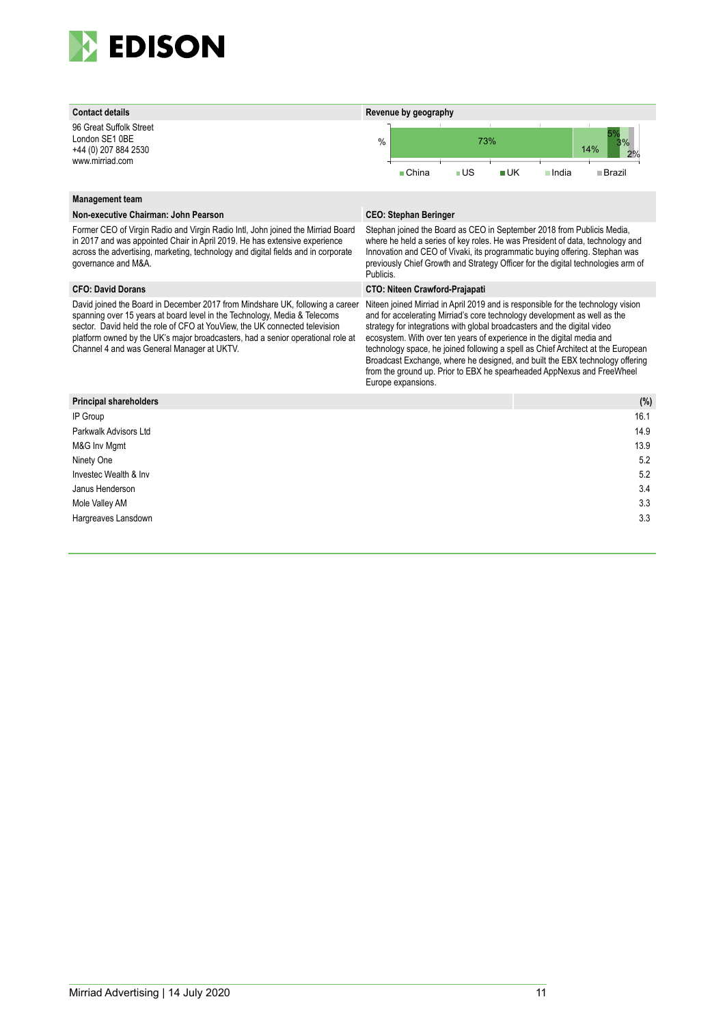

96 Great Suffolk Street London SE1 0BE +44 (0) 207 884 2530 www.mirriad.com



#### **Management team**

#### **Non-executive Chairman: John Pearson CEO: Stephan Beringer**

Former CEO of Virgin Radio and Virgin Radio Intl, John joined the Mirriad Board in 2017 and was appointed Chair in April 2019. He has extensive experience across the advertising, marketing, technology and digital fields and in corporate governance and M&A.

David joined the Board in December 2017 from Mindshare UK, following a career spanning over 15 years at board level in the Technology, Media & Telecoms sector. David held the role of CFO at YouView, the UK connected television platform owned by the UK's major broadcasters, had a senior operational role at Channel 4 and was General Manager at UKTV.

Stephan joined the Board as CEO in September 2018 from Publicis Media, where he held a series of key roles. He was President of data, technology and Innovation and CEO of Vivaki, its programmatic buying offering. Stephan was previously Chief Growth and Strategy Officer for the digital technologies arm of Publicis.

#### **CFO: David Dorans CTO: Niteen Crawford-Prajapati**

Niteen joined Mirriad in April 2019 and is responsible for the technology vision and for accelerating Mirriad's core technology development as well as the strategy for integrations with global broadcasters and the digital video ecosystem. With over ten years of experience in the digital media and technology space, he joined following a spell as Chief Architect at the European Broadcast Exchange, where he designed, and built the EBX technology offering from the ground up. Prior to EBX he spearheaded AppNexus and FreeWheel Europe expansions.

| <b>Principal shareholders</b> | (%)  |
|-------------------------------|------|
| IP Group                      | 16.1 |
| Parkwalk Advisors Ltd         | 14.9 |
| M&G Inv Mgmt                  | 13.9 |
| Ninety One                    | 5.2  |
| Investec Wealth & Inv         | 5.2  |
| Janus Henderson               | 3.4  |
| Mole Valley AM                | 3.3  |
| Hargreaves Lansdown           | 3.3  |
|                               |      |